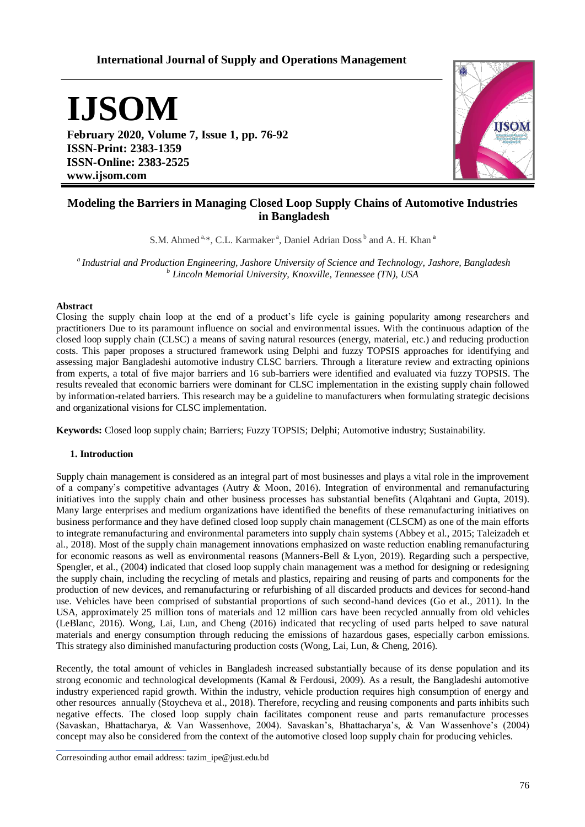# **International Journal of Supply and Operations Management**

**IJSOM**

**February 2020, Volume 7, Issue 1, pp. 76-92 ISSN-Print: 2383-1359 ISSN-Online: 2383-2525 www.ijsom.com**



# **Modeling the Barriers in Managing Closed Loop Supply Chains of Automotive Industries in Bangladesh**

S.M. Ahmed<sup>a,\*</sup>, C.L. Karmaker<sup>a</sup>, Daniel Adrian Doss<sup>b</sup> and A. H. Khan<sup>a</sup>

*<sup>a</sup>Industrial and Production Engineering, Jashore University of Science and Technology, Jashore, Bangladesh b Lincoln Memorial University, Knoxville, Tennessee (TN), USA*

### **Abstract**

Closing the supply chain loop at the end of a product's life cycle is gaining popularity among researchers and practitioners Due to its paramount influence on social and environmental issues. With the continuous adaption of the closed loop supply chain (CLSC) a means of saving natural resources (energy, material, etc.) and reducing production costs. This paper proposes a structured framework using Delphi and fuzzy TOPSIS approaches for identifying and assessing major Bangladeshi automotive industry CLSC barriers. Through a literature review and extracting opinions from experts, a total of five major barriers and 16 sub-barriers were identified and evaluated via fuzzy TOPSIS. The results revealed that economic barriers were dominant for CLSC implementation in the existing supply chain followed by information-related barriers. This research may be a guideline to manufacturers when formulating strategic decisions and organizational visions for CLSC implementation.

**Keywords:** Closed loop supply chain; Barriers; Fuzzy TOPSIS; Delphi; Automotive industry; Sustainability.

### **1. Introduction**

Supply chain management is considered as an integral part of most businesses and plays a vital role in the improvement of a company's competitive advantages (Autry  $\&$  Moon, 2016). Integration of environmental and remanufacturing initiatives into the supply chain and other business processes has substantial benefits (Alqahtani and Gupta, 2019). Many large enterprises and medium organizations have identified the benefits of these remanufacturing initiatives on business performance and they have defined closed loop supply chain management (CLSCM) as one of the main efforts to integrate remanufacturing and environmental parameters into supply chain systems (Abbey et al., 2015; Taleizadeh et al., 2018). Most of the supply chain management innovations emphasized on waste reduction enabling remanufacturing for economic reasons as well as environmental reasons (Manners-Bell & Lyon, 2019). Regarding such a perspective, Spengler, et al., (2004) indicated that closed loop supply chain management was a method for designing or redesigning the supply chain, including the recycling of metals and plastics, repairing and reusing of parts and components for the production of new devices, and remanufacturing or refurbishing of all discarded products and devices for second-hand use. Vehicles have been comprised of substantial proportions of such second-hand devices (Go et al., 2011). In the USA, approximately 25 million tons of materials and 12 million cars have been recycled annually from old vehicles (LeBlanc, 2016). Wong, Lai, Lun, and Cheng (2016) indicated that recycling of used parts helped to save natural materials and energy consumption through reducing the emissions of hazardous gases, especially carbon emissions. This strategy also diminished manufacturing production costs (Wong, Lai, Lun, & Cheng, 2016).

Recently, the total amount of vehicles in Bangladesh increased substantially because of its dense population and its strong economic and technological developments (Kamal & Ferdousi, 2009). As a result, the Bangladeshi automotive industry experienced rapid growth. Within the industry, vehicle production requires high consumption of energy and other resources annually (Stoycheva et al., 2018). Therefore, recycling and reusing components and parts inhibits such negative effects. The closed loop supply chain facilitates component reuse and parts remanufacture processes (Savaskan, Bhattacharya, & Van Wassenhove, 2004). Savaskan's, Bhattacharya's, & Van Wassenhove's (2004) concept may also be considered from the context of the automotive closed loop supply chain for producing vehicles.

Corresoinding author email address: tazim\_ipe@just.edu.bd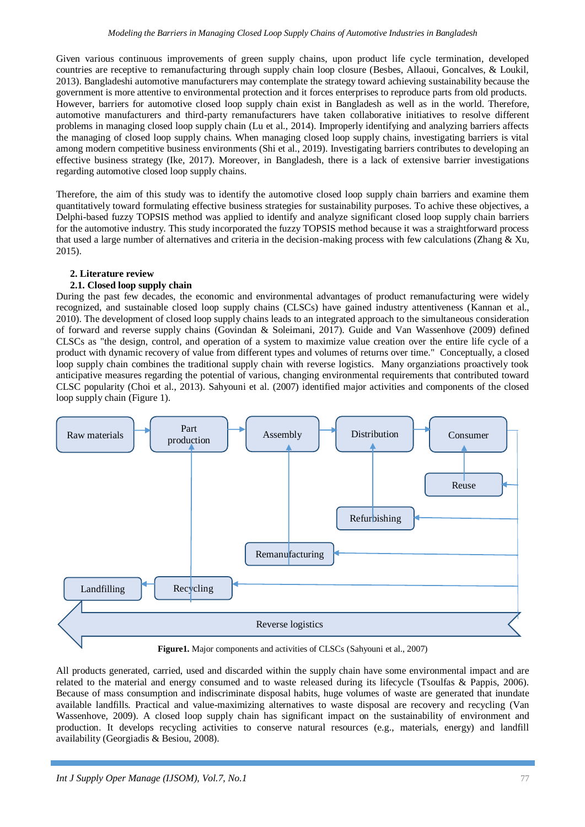Given various continuous improvements of green supply chains, upon product life cycle termination, developed countries are receptive to remanufacturing through supply chain loop closure (Besbes, Allaoui, Goncalves, & Loukil, 2013). Bangladeshi automotive manufacturers may contemplate the strategy toward achieving sustainability because the government is more attentive to environmental protection and it forces enterprises to reproduce parts from old products. However, barriers for automotive closed loop supply chain exist in Bangladesh as well as in the world. Therefore, automotive manufacturers and third-party remanufacturers have taken collaborative initiatives to resolve different problems in managing closed loop supply chain (Lu et al., 2014). Improperly identifying and analyzing barriers affects the managing of closed loop supply chains. When managing closed loop supply chains, investigating barriers is vital among modern competitive business environments (Shi et al., 2019). Investigating barriers contributes to developing an effective business strategy (Ike, 2017). Moreover, in Bangladesh, there is a lack of extensive barrier investigations regarding automotive closed loop supply chains.

Therefore, the aim of this study was to identify the automotive closed loop supply chain barriers and examine them quantitatively toward formulating effective business strategies for sustainability purposes. To achive these objectives, a Delphi-based fuzzy TOPSIS method was applied to identify and analyze significant closed loop supply chain barriers for the automotive industry. This study incorporated the fuzzy TOPSIS method because it was a straightforward process that used a large number of alternatives and criteria in the decision-making process with few calculations (Zhang  $& \text{Xu}$ , 2015).

#### **2. Literature review**

#### **2.1. Closed loop supply chain**

During the past few decades, the economic and environmental advantages of product remanufacturing were widely recognized, and sustainable closed loop supply chains (CLSCs) have gained industry attentiveness (Kannan et al., 2010). The development of closed loop supply chains leads to an integrated approach to the simultaneous consideration of forward and reverse supply chains (Govindan & Soleimani, 2017). Guide and Van Wassenhove (2009) defined CLSCs as "the design, control, and operation of a system to maximize value creation over the entire life cycle of a product with dynamic recovery of value from different types and volumes of returns over time."Conceptually, a closed loop supply chain combines the traditional supply chain with reverse logistics. Many organziations proactively took anticipative measures regarding the potential of various, changing environmental requirements that contributed toward CLSC popularity (Choi et al., 2013). Sahyouni et al. (2007) identified major activities and components of the closed loop supply chain (Figure 1).



**Figure1.** Major components and activities of CLSCs (Sahyouni et al., 2007)

All products generated, carried, used and discarded within the supply chain have some environmental impact and are related to the material and energy consumed and to waste released during its lifecycle (Tsoulfas & Pappis, 2006). Because of mass consumption and indiscriminate disposal habits, huge volumes of waste are generated that inundate available landfills. Practical and value-maximizing alternatives to waste disposal are recovery and recycling (Van Wassenhove, 2009). A closed loop supply chain has significant impact on the sustainability of environment and production. It develops recycling activities to conserve natural resources (e.g., materials, energy) and landfill availability (Georgiadis & Besiou, 2008).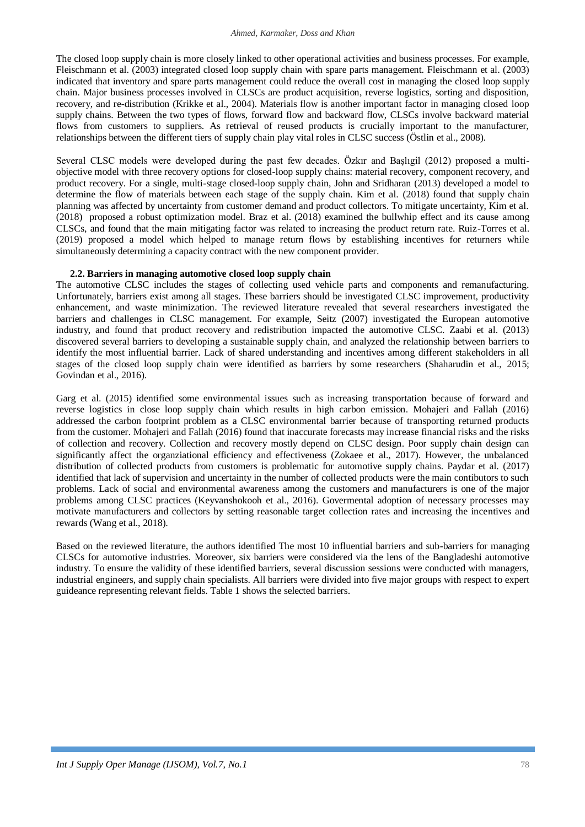The closed loop supply chain is more closely linked to other operational activities and business processes. For example, Fleischmann et al. (2003) integrated closed loop supply chain with spare parts management. Fleischmann et al. (2003) indicated that inventory and spare parts management could reduce the overall cost in managing the closed loop supply chain. Major business processes involved in CLSCs are product acquisition, reverse logistics, sorting and disposition, recovery, and re-distribution (Krikke et al., 2004). Materials flow is another important factor in managing closed loop supply chains. Between the two types of flows, forward flow and backward flow, CLSCs involve backward material flows from customers to suppliers. As retrieval of reused products is crucially important to the manufacturer, relationships between the different tiers of supply chain play vital roles in CLSC success (Östlin et al., 2008).

Several CLSC models were developed during the past few decades. Özkır and Başlıgil (2012) proposed a multiobjective model with three recovery options for closed-loop supply chains: material recovery, component recovery, and product recovery. For a single, multi-stage closed-loop supply chain, John and Sridharan (2013) developed a model to determine the flow of materials between each stage of the supply chain. Kim et al. (2018) found that supply chain planning was affected by uncertainty from customer demand and product collectors. To mitigate uncertainty, Kim et al. (2018) proposed a robust optimization model. Braz et al. (2018) examined the bullwhip effect and its cause among CLSCs, and found that the main mitigating factor was related to increasing the product return rate. Ruiz-Torres et al. (2019) proposed a model which helped to manage return flows by establishing incentives for returners while simultaneously determining a capacity contract with the new component provider.

### **2.2. Barriers in managing automotive closed loop supply chain**

The automotive CLSC includes the stages of collecting used vehicle parts and components and remanufacturing. Unfortunately, barriers exist among all stages. These barriers should be investigated CLSC improvement, productivity enhancement, and waste minimization. The reviewed literature revealed that several researchers investigated the barriers and challenges in CLSC management. For example, Seitz (2007) investigated the European automotive industry, and found that product recovery and redistribution impacted the automotive CLSC. Zaabi et al. (2013) discovered several barriers to developing a sustainable supply chain, and analyzed the relationship between barriers to identify the most influential barrier. Lack of shared understanding and incentives among different stakeholders in all stages of the closed loop supply chain were identified as barriers by some researchers (Shaharudin et al., 2015; Govindan et al., 2016).

Garg et al. (2015) identified some environmental issues such as increasing transportation because of forward and reverse logistics in close loop supply chain which results in high carbon emission. Mohajeri and Fallah (2016) addressed the carbon footprint problem as a CLSC environmental barrier because of transporting returned products from the customer. Mohajeri and Fallah (2016) found that inaccurate forecasts may increase financial risks and the risks of collection and recovery. Collection and recovery mostly depend on CLSC design. Poor supply chain design can significantly affect the organziational efficiency and effectiveness (Zokaee et al., 2017). However, the unbalanced distribution of collected products from customers is problematic for automotive supply chains. Paydar et al. (2017) identified that lack of supervision and uncertainty in the number of collected products were the main contibutors to such problems. Lack of social and environmental awareness among the customers and manufacturers is one of the major problems among CLSC practices (Keyvanshokooh et al., 2016). Govermental adoption of necessary processes may motivate manufacturers and collectors by setting reasonable target collection rates and increasing the incentives and rewards (Wang et al., 2018).

Based on the reviewed literature, the authors identified The most 10 influential barriers and sub-barriers for managing CLSCs for automotive industries. Moreover, six barriers were considered via the lens of the Bangladeshi automotive industry. To ensure the validity of these identified barriers, several discussion sessions were conducted with managers, industrial engineers, and supply chain specialists. All barriers were divided into five major groups with respect to expert guideance representing relevant fields. Table 1 shows the selected barriers.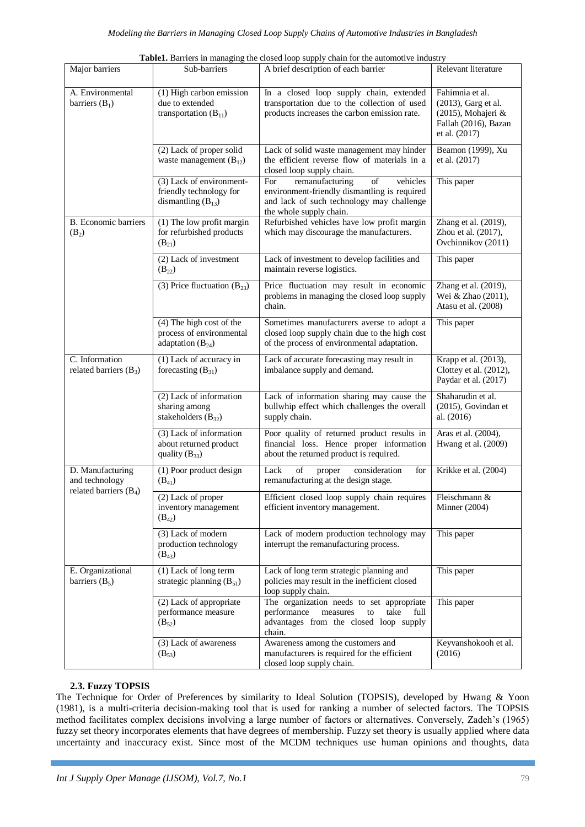|                                                                |                                                                               | <b>Table1.</b> Barriers in managing the closed loop supply chain for the automotive industry                                                                     |                                                                                                       |
|----------------------------------------------------------------|-------------------------------------------------------------------------------|------------------------------------------------------------------------------------------------------------------------------------------------------------------|-------------------------------------------------------------------------------------------------------|
| Major barriers                                                 | Sub-barriers                                                                  | A brief description of each barrier                                                                                                                              | Relevant literature                                                                                   |
| A. Environmental<br>barriers $(B_1)$                           | (1) High carbon emission<br>due to extended<br>transportation $(B_{11})$      | In a closed loop supply chain, extended<br>transportation due to the collection of used<br>products increases the carbon emission rate.                          | Fahimnia et al.<br>(2013), Garg et al.<br>(2015), Mohajeri &<br>Fallah (2016), Bazan<br>et al. (2017) |
|                                                                | (2) Lack of proper solid<br>waste management $(B_{12})$                       | Lack of solid waste management may hinder<br>the efficient reverse flow of materials in a<br>closed loop supply chain.                                           | Beamon (1999), Xu<br>et al. (2017)                                                                    |
|                                                                | (3) Lack of environment-<br>friendly technology for<br>dismantling $(B_{13})$ | For<br>remanufacturing<br>of<br>vehicles<br>environment-friendly dismantling is required<br>and lack of such technology may challenge<br>the whole supply chain. | This paper                                                                                            |
| <b>B.</b> Economic barriers<br>$(B_2)$                         | (1) The low profit margin<br>for refurbished products<br>$(B_{21})$           | Refurbished vehicles have low profit margin<br>which may discourage the manufacturers.                                                                           | Zhang et al. (2019),<br>Zhou et al. (2017),<br>Ovchinnikov (2011)                                     |
|                                                                | (2) Lack of investment<br>$(B_{22})$                                          | Lack of investment to develop facilities and<br>maintain reverse logistics.                                                                                      | This paper                                                                                            |
|                                                                | (3) Price fluctuation $(B_{23})$                                              | Price fluctuation may result in economic<br>problems in managing the closed loop supply<br>chain.                                                                | Zhang et al. (2019),<br>Wei & Zhao (2011),<br>Atasu et al. (2008)                                     |
|                                                                | (4) The high cost of the<br>process of environmental<br>adaptation $(B_{24})$ | Sometimes manufacturers averse to adopt a<br>closed loop supply chain due to the high cost<br>of the process of environmental adaptation.                        | This paper                                                                                            |
| C. Information<br>related barriers $(B_3)$                     | (1) Lack of accuracy in<br>forecasting $(B_{31})$                             | Lack of accurate forecasting may result in<br>imbalance supply and demand.                                                                                       | Krapp et al. (2013),<br>Clottey et al. (2012),<br>Paydar et al. (2017)                                |
|                                                                | (2) Lack of information<br>sharing among<br>stakeholders $(B_{32})$           | Lack of information sharing may cause the<br>bullwhip effect which challenges the overall<br>supply chain.                                                       | Shaharudin et al.<br>(2015), Govindan et<br>al. (2016)                                                |
|                                                                | (3) Lack of information<br>about returned product<br>quality $(B_{33})$       | Poor quality of returned product results in<br>financial loss. Hence proper information<br>about the returned product is required.                               | Aras et al. (2004),<br>Hwang et al. (2009)                                                            |
| D. Manufacturing<br>and technology<br>related barriers $(B_4)$ | (1) Poor product design<br>$(B_{41})$                                         | Lack<br>of<br>consideration<br>for<br>proper<br>remanufacturing at the design stage.                                                                             | Krikke et al. (2004)                                                                                  |
|                                                                | $\overline{(2)$ Lack of proper<br>inventory management<br>$(B_{42})$          | Efficient closed loop supply chain requires<br>efficient inventory management.                                                                                   | Fleischmann &<br>Minner $(2004)$                                                                      |
|                                                                | (3) Lack of modern<br>production technology<br>$(B_{43})$                     | Lack of modern production technology may<br>interrupt the remanufacturing process.                                                                               | This paper                                                                                            |
| E. Organizational<br>barriers $(B_5)$                          | (1) Lack of long term<br>strategic planning $(B_{51})$                        | Lack of long term strategic planning and<br>policies may result in the inefficient closed<br>loop supply chain.                                                  | This paper                                                                                            |
|                                                                | (2) Lack of appropriate<br>performance measure<br>$(B_{52})$                  | The organization needs to set appropriate<br>performance<br>measures<br>to<br>take<br>full<br>advantages from the closed loop supply<br>chain.                   | This paper                                                                                            |
|                                                                | (3) Lack of awareness<br>$(B_{53})$                                           | Awareness among the customers and<br>manufacturers is required for the efficient<br>closed loop supply chain.                                                    | Keyvanshokooh et al.<br>(2016)                                                                        |

**Table1.** Barriers in managing the closed loop supply chain for the automotive industry

## **2.3. Fuzzy TOPSIS**

The Technique for Order of Preferences by similarity to Ideal Solution (TOPSIS), developed by Hwang & Yoon (1981), is a multi-criteria decision-making tool that is used for ranking a number of selected factors. The TOPSIS method facilitates complex decisions involving a large number of factors or alternatives. Conversely, Zadeh's (1965) fuzzy set theory incorporates elements that have degrees of membership. Fuzzy set theory is usually applied where data uncertainty and inaccuracy exist. Since most of the MCDM techniques use human opinions and thoughts, data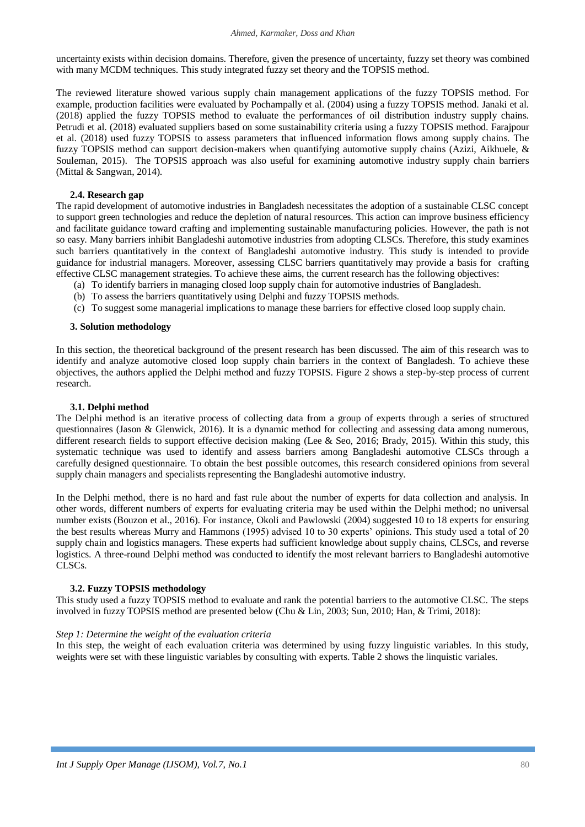uncertainty exists within decision domains. Therefore, given the presence of uncertainty, fuzzy set theory was combined with many MCDM techniques. This study integrated fuzzy set theory and the TOPSIS method.

The reviewed literature showed various supply chain management applications of the fuzzy TOPSIS method. For example, production facilities were evaluated by Pochampally et al. (2004) using a fuzzy TOPSIS method. Janaki et al. (2018) applied the fuzzy TOPSIS method to evaluate the performances of oil distribution industry supply chains. Petrudi et al. (2018) evaluated suppliers based on some sustainability criteria using a fuzzy TOPSIS method. Farajpour et al. (2018) used fuzzy TOPSIS to assess parameters that influenced information flows among supply chains. The fuzzy TOPSIS method can support decision-makers when quantifying automotive supply chains (Azizi, Aikhuele, & Souleman, 2015). The TOPSIS approach was also useful for examining automotive industry supply chain barriers (Mittal & Sangwan, 2014).

## **2.4. Research gap**

The rapid development of automotive industries in Bangladesh necessitates the adoption of a sustainable CLSC concept to support green technologies and reduce the depletion of natural resources. This action can improve business efficiency and facilitate guidance toward crafting and implementing sustainable manufacturing policies. However, the path is not so easy. Many barriers inhibit Bangladeshi automotive industries from adopting CLSCs. Therefore, this study examines such barriers quantitatively in the context of Bangladeshi automotive industry. This study is intended to provide guidance for industrial managers. Moreover, assessing CLSC barriers quantitatively may provide a basis for crafting effective CLSC management strategies. To achieve these aims, the current research has the following objectives:

- (a) To identify barriers in managing closed loop supply chain for automotive industries of Bangladesh.
- (b) To assess the barriers quantitatively using Delphi and fuzzy TOPSIS methods.
- (c) To suggest some managerial implications to manage these barriers for effective closed loop supply chain.

### **3. Solution methodology**

In this section, the theoretical background of the present research has been discussed. The aim of this research was to identify and analyze automotive closed loop supply chain barriers in the context of Bangladesh. To achieve these objectives, the authors applied the Delphi method and fuzzy TOPSIS. Figure 2 shows a step-by-step process of current research.

## **3.1. Delphi method**

The Delphi method is an iterative process of collecting data from a group of experts through a series of structured questionnaires (Jason & Glenwick, 2016). It is a dynamic method for collecting and assessing data among numerous, different research fields to support effective decision making (Lee & Seo, 2016; Brady, 2015). Within this study, this systematic technique was used to identify and assess barriers among Bangladeshi automotive CLSCs through a carefully designed questionnaire. To obtain the best possible outcomes, this research considered opinions from several supply chain managers and specialists representing the Bangladeshi automotive industry.

In the Delphi method, there is no hard and fast rule about the number of experts for data collection and analysis. In other words, different numbers of experts for evaluating criteria may be used within the Delphi method; no universal number exists (Bouzon et al., 2016). For instance, Okoli and Pawlowski (2004) suggested 10 to 18 experts for ensuring the best results whereas Murry and Hammons (1995) advised 10 to 30 experts' opinions. This study used a total of 20 supply chain and logistics managers. These experts had sufficient knowledge about supply chains, CLSCs, and reverse logistics. A three-round Delphi method was conducted to identify the most relevant barriers to Bangladeshi automotive CLSCs.

## **3.2. Fuzzy TOPSIS methodology**

This study used a fuzzy TOPSIS method to evaluate and rank the potential barriers to the automotive CLSC. The steps involved in fuzzy TOPSIS method are presented below (Chu & Lin, 2003; Sun, 2010; Han, & Trimi, 2018):

### *Step 1: Determine the weight of the evaluation criteria*

In this step, the weight of each evaluation criteria was determined by using fuzzy linguistic variables. In this study, weights were set with these linguistic variables by consulting with experts. Table 2 shows the linquistic variales.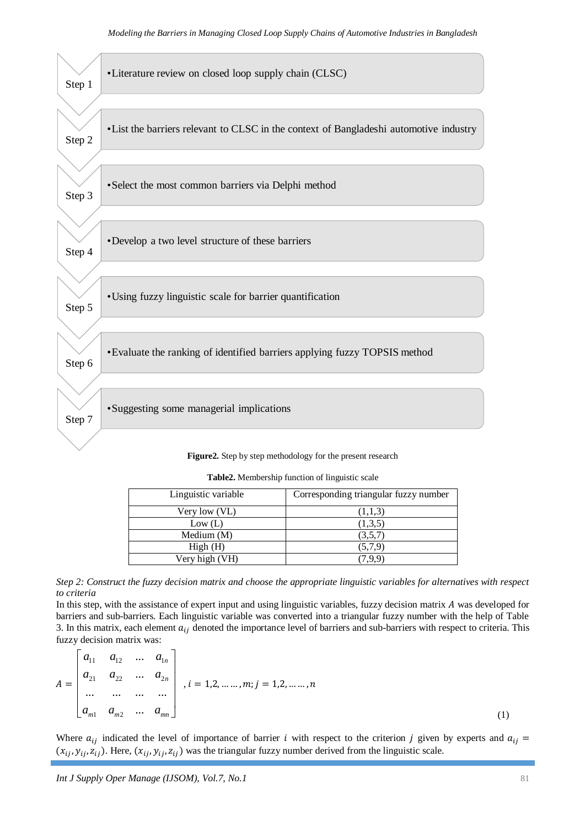

| Linguistic variable | Corresponding triangular fuzzy number |
|---------------------|---------------------------------------|
| Very low (VL)       | (1,1,3)                               |
| Low (L)             | (1,3,5)                               |
| Medium (M)          | (3,5,7)                               |
| High(H)             | (5,7,9)                               |
| Very high (VH)      | 7.9.9                                 |

**Table2.** Membership function of linguistic scale



In this step, with the assistance of expert input and using linguistic variables, fuzzy decision matrix A was developed for barriers and sub-barriers. Each linguistic variable was converted into a triangular fuzzy number with the help of Table 3. In this matrix, each element  $a_{ij}$  denoted the importance level of barriers and sub-barriers with respect to criteria. This fuzzy decision matrix was:

$$
A = \begin{bmatrix} a_{11} & a_{12} & \dots & a_{1n} \\ a_{21} & a_{22} & \dots & a_{2n} \\ \dots & \dots & \dots & \dots \\ a_{m1} & a_{m2} & \dots & a_{mn} \end{bmatrix}, i = 1, 2, \dots, m; j = 1, 2, \dots, n
$$
\n(1)

Where  $a_{ij}$  indicated the level of importance of barrier i with respect to the criterion j given by experts and  $a_{ij}$  $(x_{ij}, y_{ij}, z_{ij})$ . Here,  $(x_{ij}, y_{ij}, z_{ij})$  was the triangular fuzzy number derived from the linguistic scale.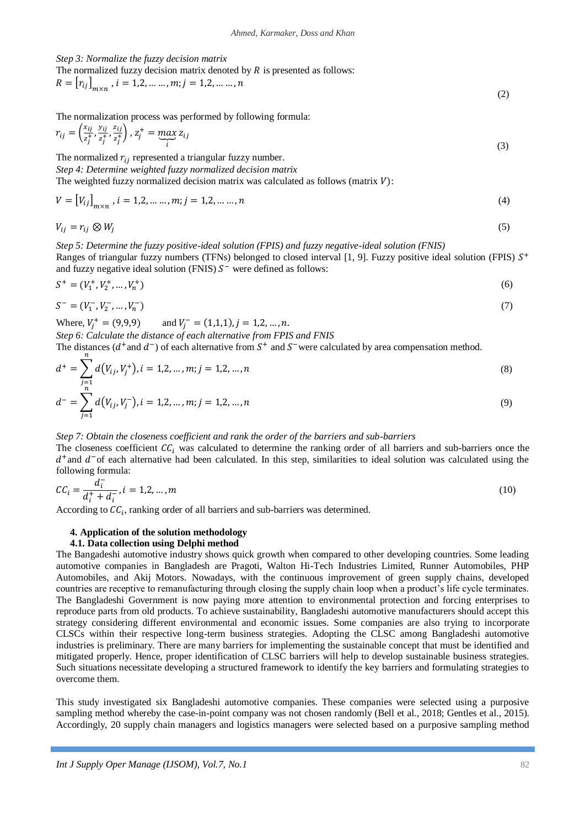*Step 3: Normalize the fuzzy decision matrix*

 $\mathbf{r}$ 

The normalized fuzzy decision matrix denoted by  $R$  is presented as follows:

$$
R = [r_{ij}]_{m \times n}, i = 1, 2, \dots, m; j = 1, 2, \dots, n
$$
\n(2)

The normalization process was performed by following formula:

$$
r_{ij} = \left(\frac{x_{ij}}{z_j^+}, \frac{y_{ij}}{z_j^+}, \frac{z_{ij}}{z_j^+}\right), \, z_j^+ = \max_i z_{ij}
$$
\n(3)

The normalized  $r_{ij}$  represented a triangular fuzzy number.

*Step 4: Determine weighted fuzzy normalized decision matrix*

The weighted fuzzy normalized decision matrix was calculated as follows (matrix  $V$ ):

$$
V = [V_{ij}]_{m \times n}, i = 1, 2, \dots, m; j = 1, 2, \dots, n
$$
\n(4)

$$
V_{ij} = r_{ij} \otimes W_j \tag{5}
$$

*Step 5: Determine the fuzzy positive-ideal solution (FPIS) and fuzzy negative-ideal solution (FNIS)* Ranges of triangular fuzzy numbers (TFNs) belonged to closed interval [1, 9]. Fuzzy positive ideal solution (FPIS)  $S^+$ and fuzzy negative ideal solution (FNIS)  $S^-$  were defined as follows:

$$
S^{+} = (V_1^{+}, V_2^{+}, \dots, V_n^{+}) \tag{6}
$$

$$
S^{-} = (V_1^{-}, V_2^{-}, \dots, V_n^{-})
$$
\n<sup>(7)</sup>

Where,  $V_i^+ = (9,9,9)$  and  $V_i^-$ *Step 6: Calculate the distance of each alternative from FPIS and FNIS* 

The distances ( $d^+$  and  $d^-$ ) of each alternative from  $S^+$  and  $S^-$  were calculated by area compensation method.

$$
d^{+} = \sum_{\substack{j=1 \ n}} d(V_{ij}, V_{j}^{+}), i = 1, 2, ..., m; j = 1, 2, ..., n
$$
\n(8)

$$
d^- = \sum_{j=1} d(V_{ij}, V_j^-), i = 1, 2, ..., m; j = 1, 2, ..., n
$$
\n(9)

#### *Step 7: Obtain the closeness coefficient and rank the order of the barriers and sub-barriers*

The closeness coefficient  $\mathcal{C}\mathcal{C}_i$  was calculated to determine the ranking order of all barriers and sub-barriers once the  $d^+$ and  $d^-$ of each alternative had been calculated. In this step, similarities to ideal solution was calculated using the following formula:

$$
CC_i = \frac{d_i^-}{d_i^+ + d_i^-}, i = 1, 2, ..., m
$$
\n(10)

According to  $\mathcal{CC}_i$ , ranking order of all barriers and sub-barriers was determined.

#### **4. Application of the solution methodology**

#### **4.1. Data collection using Delphi method**

The Bangadeshi automotive industry shows quick growth when compared to other developing countries. Some leading automotive companies in Bangladesh are Pragoti, Walton Hi-Tech Industries Limited, Runner Automobiles, PHP Automobiles, and Akij Motors. Nowadays, with the continuous improvement of green supply chains, developed countries are receptive to remanufacturing through closing the supply chain loop when a product's life cycle terminates. The Bangladeshi Government is now paying more attention to environmental protection and forcing enterprises to reproduce parts from old products. To achieve sustainability, Bangladeshi automotive manufacturers should accept this strategy considering different environmental and economic issues. Some companies are also trying to incorporate CLSCs within their respective long-term business strategies. Adopting the CLSC among Bangladeshi automotive industries is preliminary. There are many barriers for implementing the sustainable concept that must be identified and mitigated properly. Hence, proper identification of CLSC barriers will help to develop sustainable business strategies. Such situations necessitate developing a structured framework to identify the key barriers and formulating strategies to overcome them.

This study investigated six Bangladeshi automotive companies. These companies were selected using a purposive sampling method whereby the case-in-point company was not chosen randomly (Bell et al., 2018; Gentles et al., 2015). Accordingly, 20 supply chain managers and logistics managers were selected based on a purposive sampling method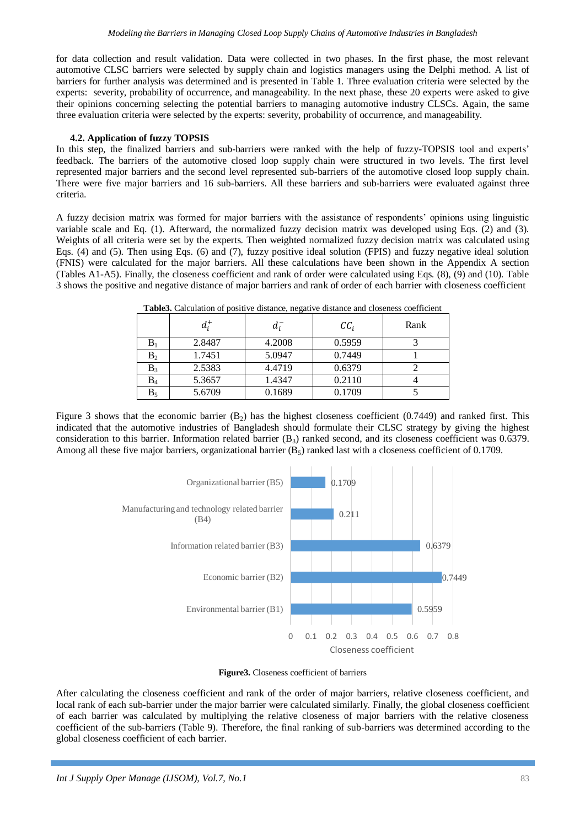for data collection and result validation. Data were collected in two phases. In the first phase, the most relevant automotive CLSC barriers were selected by supply chain and logistics managers using the Delphi method. A list of barriers for further analysis was determined and is presented in Table 1. Three evaluation criteria were selected by the experts: severity, probability of occurrence, and manageability. In the next phase, these 20 experts were asked to give their opinions concerning selecting the potential barriers to managing automotive industry CLSCs. Again, the same three evaluation criteria were selected by the experts: severity, probability of occurrence, and manageability.

#### **4.2. Application of fuzzy TOPSIS**

In this step, the finalized barriers and sub-barriers were ranked with the help of fuzzy-TOPSIS tool and experts' feedback. The barriers of the automotive closed loop supply chain were structured in two levels. The first level represented major barriers and the second level represented sub-barriers of the automotive closed loop supply chain. There were five major barriers and 16 sub-barriers. All these barriers and sub-barriers were evaluated against three criteria.

A fuzzy decision matrix was formed for major barriers with the assistance of respondents' opinions using linguistic variable scale and Eq. (1). Afterward, the normalized fuzzy decision matrix was developed using Eqs. (2) and (3). Weights of all criteria were set by the experts. Then weighted normalized fuzzy decision matrix was calculated using Eqs. (4) and (5). Then using Eqs. (6) and (7), fuzzy positive ideal solution (FPIS) and fuzzy negative ideal solution (FNIS) were calculated for the major barriers. All these calculations have been shown in the Appendix A section (Tables A1-A5). Finally, the closeness coefficient and rank of order were calculated using Eqs. (8), (9) and (10). Table 3 shows the positive and negative distance of major barriers and rank of order of each barrier with closeness coefficient

| <b>TWORDS:</b> CHIPMINISH OF PODITIVE MOUNTING, HOMEVE CHOMINED MISSIBILIZED COULDING |         |                            |      |  |  |
|---------------------------------------------------------------------------------------|---------|----------------------------|------|--|--|
| $d_i^+$                                                                               | $d_i^-$ | $\mathcal{C}\mathcal{C}_i$ | Rank |  |  |
| 2.8487                                                                                | 4.2008  | 0.5959                     |      |  |  |
| 1.7451                                                                                | 5.0947  | 0.7449                     |      |  |  |
| 2.5383                                                                                | 4.4719  | 0.6379                     |      |  |  |
| 5.3657                                                                                | 1.4347  | 0.2110                     |      |  |  |
| 5.6709                                                                                | 0.1689  | 0.1709                     |      |  |  |
|                                                                                       |         |                            |      |  |  |

**Table3.** Calculation of positive distance, negative distance and closeness coefficient

Figure 3 shows that the economic barrier  $(B_2)$  has the highest closeness coefficient (0.7449) and ranked first. This indicated that the automotive industries of Bangladesh should formulate their CLSC strategy by giving the highest consideration to this barrier. Information related barrier  $(B_3)$  ranked second, and its closeness coefficient was 0.6379. Among all these five major barriers, organizational barrier  $(B_5)$  ranked last with a closeness coefficient of 0.1709.



**Figure3.** Closeness coefficient of barriers

After calculating the closeness coefficient and rank of the order of major barriers, relative closeness coefficient, and local rank of each sub-barrier under the major barrier were calculated similarly. Finally, the global closeness coefficient of each barrier was calculated by multiplying the relative closeness of major barriers with the relative closeness coefficient of the sub-barriers (Table 9). Therefore, the final ranking of sub-barriers was determined according to the global closeness coefficient of each barrier.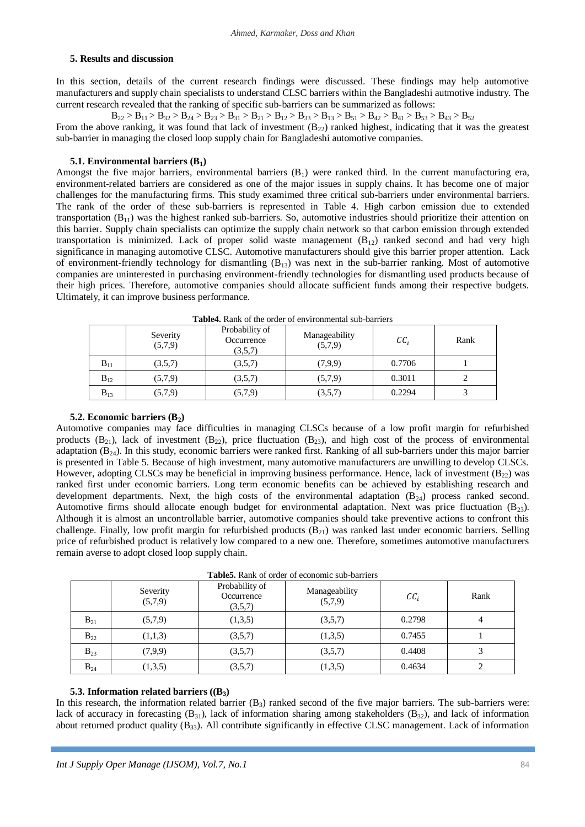#### **5. Results and discussion**

In this section, details of the current research findings were discussed. These findings may help automotive manufacturers and supply chain specialists to understand CLSC barriers within the Bangladeshi autmotive industry. The current research revealed that the ranking of specific sub-barriers can be summarized as follows:

 $B_{22} > B_{11} > B_{32} > B_{24} > B_{23} > B_{31} > B_{21} > B_{12} > B_{33} > B_{13} > B_{51} > B_{42} > B_{41} > B_{53} > B_{43} > B_{52}$ 

From the above ranking, it was found that lack of investment  $(B_{22})$  ranked highest, indicating that it was the greatest sub-barrier in managing the closed loop supply chain for Bangladeshi automotive companies.

### **5.1. Environmental barriers (B1)**

Amongst the five major barriers, environmental barriers  $(B_1)$  were ranked third. In the current manufacturing era, environment-related barriers are considered as one of the major issues in supply chains. It has become one of major challenges for the manufacturing firms. This study examimed three critical sub-barriers under environmental barriers. The rank of the order of these sub-barriers is represented in Table 4. High carbon emission due to extended transportation  $(B_{11})$  was the highest ranked sub-barriers. So, automotive industries should prioritize their attention on this barrier. Supply chain specialists can optimize the supply chain network so that carbon emission through extended transportation is minimized. Lack of proper solid waste management  $(B_{12})$  ranked second and had very high significance in managing automotive CLSC. Automotive manufacturers should give this barrier proper attention. Lack of environment-friendly technology for dismantling  $(B_{13})$  was next in the sub-barrier ranking. Most of automotive companies are uninterested in purchasing environment-friendly technologies for dismantling used products because of their high prices. Therefore, automotive companies should allocate sufficient funds among their respective budgets. Ultimately, it can improve business performance.

|          | Severity<br>(5,7,9) | Probability of<br>Occurrence<br>(3,5,7) | Manageability<br>(5,7,9) | $\mathcal{C}\mathcal{C}_i$ | Rank |
|----------|---------------------|-----------------------------------------|--------------------------|----------------------------|------|
| $B_{11}$ | (3,5,7)             | (3,5,7)                                 | (7,9,9)                  | 0.7706                     |      |
| $B_{12}$ | (5,7,9)             | (3,5,7)                                 | (5,7,9)                  | 0.3011                     |      |
| $B_{13}$ | (5,7,9)             | (5,7,9)                                 | (3,5,7)                  | 0.2294                     |      |

**Table4.** Rank of the order of environmental sub-barriers

#### **5.2. Economic barriers (B2)**

Automotive companies may face difficulties in managing CLSCs because of a low profit margin for refurbished products  $(B_{21})$ , lack of investment  $(B_{22})$ , price fluctuation  $(B_{23})$ , and high cost of the process of environmental adaptation  $(B_{24})$ . In this study, economic barriers were ranked first. Ranking of all sub-barriers under this major barrier is presented in Table 5. Because of high investment, many automotive manufacturers are unwilling to develop CLSCs. However, adopting CLSCs may be beneficial in improving business performance. Hence, lack of investment  $(B_{22})$  was ranked first under economic barriers. Long term economic benefits can be achieved by establishing research and development departments. Next, the high costs of the environmental adaptation  $(B_{24})$  process ranked second. Automotive firms should allocate enough budget for environmental adaptation. Next was price fluctuation  $(B_{23})$ . Although it is almost an uncontrollable barrier, automotive companies should take preventive actions to confront this challenge. Finally, low profit margin for refurbished products (B<sub>21</sub>) was ranked last under economic barriers. Selling price of refurbished product is relatively low compared to a new one. Therefore, sometimes automotive manufacturers remain averse to adopt closed loop supply chain.

|          | Severity<br>(5,7,9) | Probability of<br>Occurrence<br>(3,5,7) | Manageability<br>(5,7,9) | $\mathcal{C}\mathcal{C}_i$ | Rank |
|----------|---------------------|-----------------------------------------|--------------------------|----------------------------|------|
| $B_{21}$ | (5,7,9)             | (1,3,5)                                 | (3,5,7)                  | 0.2798                     |      |
| $B_{22}$ | (1,1,3)             | (3,5,7)                                 | (1,3,5)                  | 0.7455                     |      |
| $B_{23}$ | (7,9,9)             | (3,5,7)                                 | (3,5,7)                  | 0.4408                     |      |
| $B_{24}$ | (1,3,5)             | (3,5,7)                                 | (1,3,5)                  | 0.4634                     |      |

**Table5.** Rank of order of economic sub-barriers

#### **5.3. Information related barriers ((B3)**

In this research, the information related barrier  $(B_3)$  ranked second of the five major barriers. The sub-barriers were: lack of accuracy in forecasting  $(B_{31})$ , lack of information sharing among stakeholders  $(B_{32})$ , and lack of information about returned product quality  $(B_{33})$ . All contribute significantly in effective CLSC management. Lack of information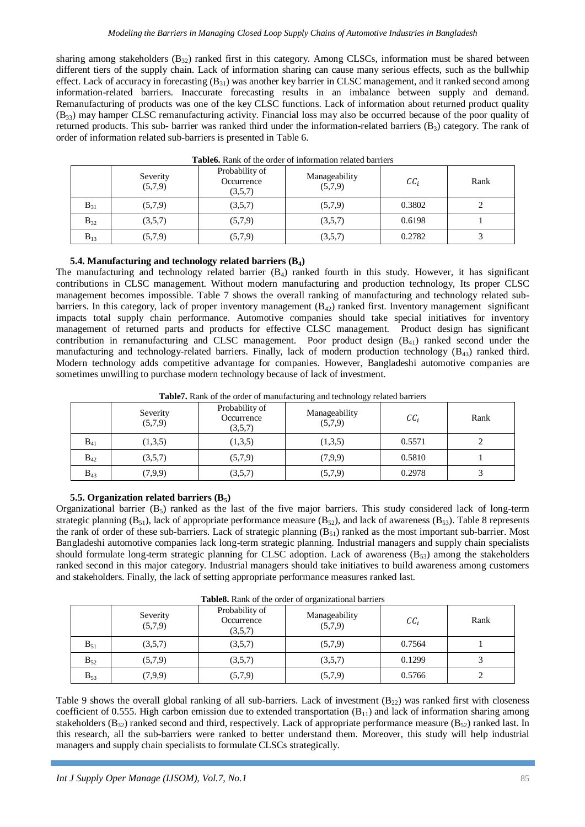sharing among stakeholders  $(B_{32})$  ranked first in this category. Among CLSCs, information must be shared between different tiers of the supply chain. Lack of information sharing can cause many serious effects, such as the bullwhip effect. Lack of accuracy in forecasting  $(B_{31})$  was another key barrier in CLSC management, and it ranked second among information-related barriers. Inaccurate forecasting results in an imbalance between supply and demand. Remanufacturing of products was one of the key CLSC functions. Lack of information about returned product quality (B33) may hamper CLSC remanufacturing activity. Financial loss may also be occurred because of the poor quality of returned products. This sub- barrier was ranked third under the information-related barriers  $(B_3)$  category. The rank of order of information related sub-barriers is presented in Table 6.

|          | Severity<br>(5,7,9) | Probability of<br>Occurrence<br>(3,5,7) | Manageability<br>(5,7,9) | $\mathcal{C}\mathcal{C}_i$ | Rank |
|----------|---------------------|-----------------------------------------|--------------------------|----------------------------|------|
| $B_{31}$ | (5,7,9)             | (3,5,7)                                 | (5,7,9)                  | 0.3802                     |      |
| $B_{32}$ | (3,5,7)             | (5,7,9)                                 | (3,5,7)                  | 0.6198                     |      |
| $B_{13}$ | (5,7,9)             | (5,7,9)                                 | (3,5,7)                  | 0.2782                     |      |

**Table6.** Rank of the order of information related barriers

**5.4. Manufacturing and technology related barriers (B4)**

The manufacturing and technology related barrier  $(B_4)$  ranked fourth in this study. However, it has significant contributions in CLSC management. Without modern manufacturing and production technology, Its proper CLSC management becomes impossible. Table 7 shows the overall ranking of manufacturing and technology related subbarriers. In this category, lack of proper inventory management  $(B_{42})$  ranked first. Inventory management significant impacts total supply chain performance. Automotive companies should take special initiatives for inventory management of returned parts and products for effective CLSC management. Product design has significant contribution in remanufacturing and CLSC management. Poor product design (B<sub>41</sub>) ranked second under the manufacturing and technology-related barriers. Finally, lack of modern production technology ( $B_{43}$ ) ranked third. Modern technology adds competitive advantage for companies. However, Bangladeshi automotive companies are sometimes unwilling to purchase modern technology because of lack of investment.

**Table7.** Rank of the order of manufacturing and technology related barriers

|          | Severity<br>(5,7,9) | Probability of<br>Occurrence<br>(3,5,7) | Manageability<br>(5,7,9) | $\mathcal{C}\mathcal{C}_i$ | Rank |
|----------|---------------------|-----------------------------------------|--------------------------|----------------------------|------|
| $B_{41}$ | (1,3,5)             | (1,3,5)                                 | (1,3,5)                  | 0.5571                     |      |
| $B_{42}$ | (3,5,7)             | (5,7,9)                                 | (7,9,9)                  | 0.5810                     |      |
| $B_{43}$ | (7,9,9)             | (3,5,7)                                 | (5,7,9)                  | 0.2978                     |      |

## **5.5. Organization related barriers (B5)**

Organizational barrier  $(B_5)$  ranked as the last of the five major barriers. This study considered lack of long-term strategic planning  $(B_{51})$ , lack of appropriate performance measure  $(B_{52})$ , and lack of awareness  $(B_{53})$ . Table 8 represents the rank of order of these sub-barriers. Lack of strategic planning  $(B_{51})$  ranked as the most important sub-barrier. Most Bangladeshi automotive companies lack long-term strategic planning. Industrial managers and supply chain specialists should formulate long-term strategic planning for CLSC adoption. Lack of awareness  $(B_{53})$  among the stakeholders ranked second in this major category. Industrial managers should take initiatives to build awareness among customers and stakeholders. Finally, the lack of setting appropriate performance measures ranked last.

**Table8.** Rank of the order of organizational barriers

|          | Severity<br>(5,7,9) | Probability of<br>Occurrence<br>(3,5,7) | <b>AWARD, IGAIN OF GIR OFGET OF OF CHAMBRIC CHILLE</b><br>Manageability<br>(5,7,9) | $\mathcal{C}\mathcal{C}_i$ | Rank |
|----------|---------------------|-----------------------------------------|------------------------------------------------------------------------------------|----------------------------|------|
| $B_{51}$ | (3,5,7)             | (3,5,7)                                 | (5,7,9)                                                                            | 0.7564                     |      |
| $B_{52}$ | (5,7,9)             | (3,5,7)                                 | (3,5,7)                                                                            | 0.1299                     |      |
| $B_{53}$ | (7,9,9)             | (5,7,9)                                 | (5,7,9)                                                                            | 0.5766                     |      |

Table 9 shows the overall global ranking of all sub-barriers. Lack of investment  $(B_{22})$  was ranked first with closeness coefficient of 0.555. High carbon emission due to extended transportation  $(B_{11})$  and lack of information sharing among stakeholders ( $B_{32}$ ) ranked second and third, respectively. Lack of appropriate performance measure ( $B_{52}$ ) ranked last. In this research, all the sub-barriers were ranked to better understand them. Moreover, this study will help industrial managers and supply chain specialists to formulate CLSCs strategically.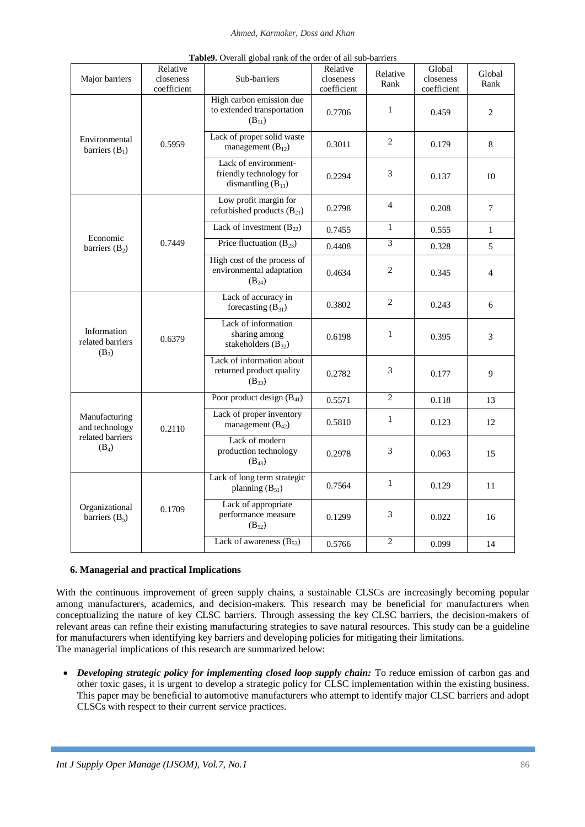#### *Ahmed, Karmaker, Doss and Khan*

| Major barriers                             | Relative<br>closeness<br>coefficient | Sub-barriers                                                              | Relative<br>closeness<br>coefficient | Relative<br>Rank | Global<br>closeness<br>coefficient | Global<br>Rank             |
|--------------------------------------------|--------------------------------------|---------------------------------------------------------------------------|--------------------------------------|------------------|------------------------------------|----------------------------|
|                                            |                                      | High carbon emission due<br>to extended transportation<br>$(B_{11})$      | 0.7706                               | $\mathbf{1}$     | 0.459                              | 2                          |
| Environmental<br>barriers $(B_1)$          | 0.5959                               | Lack of proper solid waste<br>management $(B_{12})$                       | 0.3011                               | 2                | 0.179                              | 8                          |
|                                            |                                      | Lack of environment-<br>friendly technology for<br>dismantling $(B_{13})$ | 0.2294                               | 3                | 0.137                              | 10                         |
|                                            |                                      | Low profit margin for<br>refurbished products $(B_{21})$                  | 0.2798                               | $\overline{4}$   | 0.208                              | 7                          |
|                                            |                                      | Lack of investment $(B_{22})$                                             | 0.7455                               | $\mathbf{1}$     | 0.555                              | $\mathbf{1}$               |
| Economic<br>barriers $(B_2)$               | 0.7449                               | Price fluctuation $(B_{23})$                                              | 0.4408                               | $\overline{3}$   | 0.328                              | 5                          |
|                                            |                                      | High cost of the process of<br>environmental adaptation<br>$(B_{24})$     | 0.4634                               | 2                | 0.345                              | $\overline{4}$             |
|                                            |                                      | Lack of accuracy in<br>forecasting $(B_{31})$                             | 0.3802                               | 2                | 0.243<br>6                         |                            |
| Information<br>related barriers<br>$(B_3)$ | 0.6379                               | Lack of information<br>sharing among<br>stakeholders $(B_{32})$           | 0.6198                               | $\mathbf{1}$     | 0.395                              | $\mathfrak{Z}$<br>9        |
|                                            |                                      | Lack of information about<br>returned product quality<br>$(B_{33})$       | 0.2782                               | 3                | 0.177                              |                            |
|                                            |                                      | Poor product design $(B_{41})$                                            | 0.5571                               | $\overline{2}$   | 0.118                              | 13                         |
| Manufacturing<br>and technology            | 0.2110                               | Lack of proper inventory<br>management $(B_{42})$                         | 0.5810                               | $\mathbf{1}$     | 0.123                              | 12<br>15<br>11<br>16<br>14 |
| related barriers<br>$(B_4)$                |                                      | Lack of modern<br>production technology<br>$(B_{43})$                     | 0.2978                               | 3                | 0.063                              |                            |
| Organizational<br>barriers $(B_5)$         |                                      | Lack of long term strategic<br>planning $(B_{51})$                        | 0.7564                               | $\mathbf{1}$     | 0.129                              |                            |
|                                            | 0.1709                               | Lack of appropriate<br>performance measure<br>$(B_{52})$                  | 0.1299                               | 3                | 0.022                              |                            |
|                                            |                                      | Lack of awareness $(B_{53})$                                              | 0.5766                               | $\overline{2}$   | 0.099                              |                            |

## **6. Managerial and practical Implications**

With the continuous improvement of green supply chains, a sustainable CLSCs are increasingly becoming popular among manufacturers, academics, and decision-makers. This research may be beneficial for manufacturers when conceptualizing the nature of key CLSC barriers. Through assessing the key CLSC barriers, the decision-makers of relevant areas can refine their existing manufacturing strategies to save natural resources. This study can be a guideline for manufacturers when identifying key barriers and developing policies for mitigating their limitations. The managerial implications of this research are summarized below:

 *Developing strategic policy for implementing closed loop supply chain:* To reduce emission of carbon gas and other toxic gases, it is urgent to develop a strategic policy for CLSC implementation within the existing business. This paper may be beneficial to automotive manufacturers who attempt to identify major CLSC barriers and adopt CLSCs with respect to their current service practices.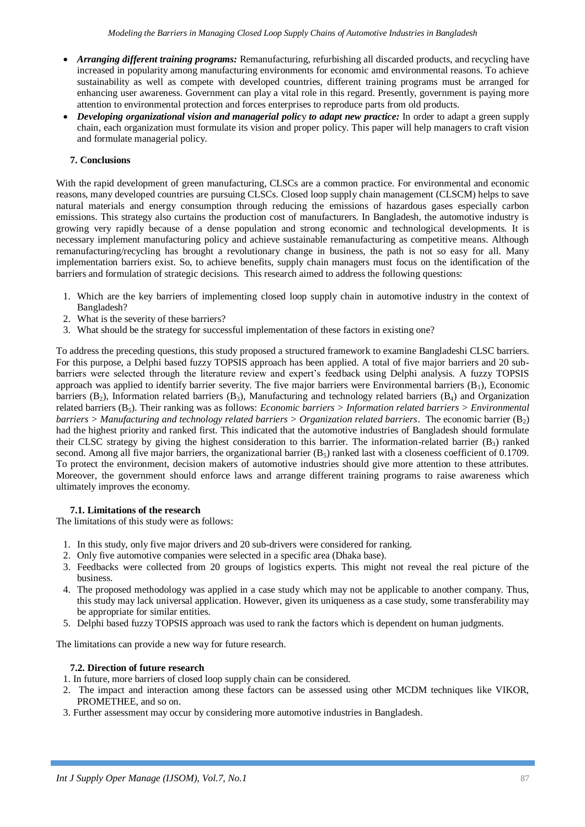- *Arranging different training programs:* Remanufacturing, refurbishing all discarded products, and recycling have increased in popularity among manufacturing environments for economic amd environmental reasons. To achieve sustainability as well as compete with developed countries, different training programs must be arranged for enhancing user awareness. Government can play a vital role in this regard. Presently, government is paying more attention to environmental protection and forces enterprises to reproduce parts from old products.
- *Developing organizational vision and managerial policy to adapt new practice:* In order to adapt a green supply chain, each organization must formulate its vision and proper policy. This paper will help managers to craft vision and formulate managerial policy.

## **7. Conclusions**

With the rapid development of green manufacturing, CLSCs are a common practice. For environmental and economic reasons, many developed countries are pursuing CLSCs. Closed loop supply chain management (CLSCM) helps to save natural materials and energy consumption through reducing the emissions of hazardous gases especially carbon emissions. This strategy also curtains the production cost of manufacturers. In Bangladesh, the automotive industry is growing very rapidly because of a dense population and strong economic and technological developments. It is necessary implement manufacturing policy and achieve sustainable remanufacturing as competitive means. Although remanufacturing/recycling has brought a revolutionary change in business, the path is not so easy for all. Many implementation barriers exist. So, to achieve benefits, supply chain managers must focus on the identification of the barriers and formulation of strategic decisions. This research aimed to address the following questions:

- 1. Which are the key barriers of implementing closed loop supply chain in automotive industry in the context of Bangladesh?
- 2. What is the severity of these barriers?
- 3. What should be the strategy for successful implementation of these factors in existing one?

To address the preceding questions, this study proposed a structured framework to examine Bangladeshi CLSC barriers. For this purpose, a Delphi based fuzzy TOPSIS approach has been applied. A total of five major barriers and 20 subbarriers were selected through the literature review and expert's feedback using Delphi analysis. A fuzzy TOPSIS approach was applied to identify barrier severity. The five major barriers were Environmental barriers  $(B_1)$ , Economic barriers  $(B_2)$ , Information related barriers  $(B_3)$ , Manufacturing and technology related barriers  $(B_4)$  and Organization related barriers (B5). Their ranking was as follows: *Economic barriers > Information related barriers > Environmental barriers > Manufacturing and technology related barriers > Organization related barriers*. The economic barrier  $(B_2)$ had the highest priority and ranked first. This indicated that the automotive industries of Bangladesh should formulate their CLSC strategy by giving the highest consideration to this barrier. The information-related barrier  $(B_3)$  ranked second. Among all five major barriers, the organizational barrier  $(B_5)$  ranked last with a closeness coefficient of 0.1709. To protect the environment, decision makers of automotive industries should give more attention to these attributes. Moreover, the government should enforce laws and arrange different training programs to raise awareness which ultimately improves the economy.

### **7.1. Limitations of the research**

The limitations of this study were as follows:

- 1. In this study, only five major drivers and 20 sub-drivers were considered for ranking.
- 2. Only five automotive companies were selected in a specific area (Dhaka base).
- 3. Feedbacks were collected from 20 groups of logistics experts. This might not reveal the real picture of the business.
- 4. The proposed methodology was applied in a case study which may not be applicable to another company. Thus, this study may lack universal application. However, given its uniqueness as a case study, some transferability may be appropriate for similar entities.
- 5. Delphi based fuzzy TOPSIS approach was used to rank the factors which is dependent on human judgments.

The limitations can provide a new way for future research.

### **7.2. Direction of future research**

- 1. In future, more barriers of closed loop supply chain can be considered.
- 2. The impact and interaction among these factors can be assessed using other MCDM techniques like VIKOR, PROMETHEE, and so on.
- 3. Further assessment may occur by considering more automotive industries in Bangladesh.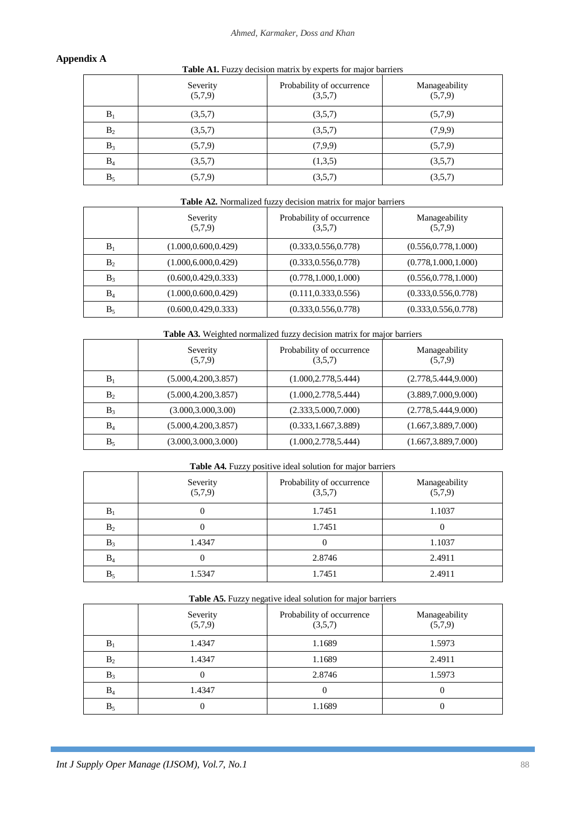## **Appendix A**

| <b>Table A1.</b> Fuzzy decision matrix by experts for major barriers |  |
|----------------------------------------------------------------------|--|
|----------------------------------------------------------------------|--|

|       | Severity<br>(5,7,9) | Probability of occurrence<br>(3,5,7) | Manageability<br>(5,7,9) |
|-------|---------------------|--------------------------------------|--------------------------|
| $B_1$ | (3,5,7)             | (3,5,7)                              | (5,7,9)                  |
| $B_2$ | (3,5,7)             | (3,5,7)                              | (7,9,9)                  |
| $B_3$ | (5,7,9)             | (7,9,9)                              | (5,7,9)                  |
| $B_4$ | (3,5,7)             | (1,3,5)                              | (3,5,7)                  |
| $B_5$ | (5,7,9)             | (3,5,7)                              | (3,5,7)                  |

| Table A2. Normalized fuzzy decision matrix for major barriers |  |  |  |
|---------------------------------------------------------------|--|--|--|

|       | Severity<br>(5,7,9)   | Probability of occurrence<br>(3,5,7) | Manageability<br>(5,7,9) |
|-------|-----------------------|--------------------------------------|--------------------------|
| $B_1$ | (1.000, 0.600, 0.429) | (0.333, 0.556, 0.778)                | (0.556, 0.778, 1.000)    |
| $B_2$ | (1.000, 6.000, 0.429) | (0.333, 0.556, 0.778)                | (0.778, 1.000, 1.000)    |
| $B_3$ | (0.600, 0.429, 0.333) | (0.778, 1.000, 1.000)                | (0.556, 0.778, 1.000)    |
| $B_4$ | (1.000, 0.600, 0.429) | (0.111, 0.333, 0.556)                | (0.333, 0.556, 0.778)    |
| $B_5$ | (0.600, 0.429, 0.333) | (0.333, 0.556, 0.778)                | (0.333, 0.556, 0.778)    |

**Table A3.** Weighted normalized fuzzy decision matrix for major barriers

|       | Severity<br>(5,7,9)   | Probability of occurrence<br>(3,5,7) | Manageability<br>(5,7,9) |
|-------|-----------------------|--------------------------------------|--------------------------|
| $B_1$ | (5.000, 4.200, 3.857) | (1.000, 2.778, 5.444)                | (2.778, 5.444, 9.000)    |
| $B_2$ | (5.000, 4.200, 3.857) | (1.000, 2.778, 5.444)                | (3.889, 7.000, 9.000)    |
| $B_3$ | (3.000, 3.000, 3.00)  | (2.333, 5.000, 7.000)                | (2.778, 5.444, 9.000)    |
| $B_4$ | (5.000, 4.200, 3.857) | (0.333, 1.667, 3.889)                | (1.667, 3.889, 7.000)    |
| $B_5$ | (3.000, 3.000, 3.000) | (1.000, 2.778, 5.444)                | (1.667, 3.889, 7.000)    |

## **Table A4.** Fuzzy positive ideal solution for major barriers

|       | Severity<br>(5,7,9) | Probability of occurrence<br>(3,5,7) | Manageability<br>(5,7,9) |
|-------|---------------------|--------------------------------------|--------------------------|
| $B_1$ |                     | 1.7451                               | 1.1037                   |
| $B_2$ |                     | 1.7451                               |                          |
| $B_3$ | 1.4347              |                                      | 1.1037                   |
| $B_4$ |                     | 2.8746                               | 2.4911                   |
| $B_5$ | 1.5347              | 1.7451                               | 2.4911                   |

| Table A5. Fuzzy negative ideal solution for major barriers |  |
|------------------------------------------------------------|--|
|                                                            |  |

|       | Severity<br>(5,7,9) | Probability of occurrence<br>(3,5,7) | Manageability<br>(5,7,9) |
|-------|---------------------|--------------------------------------|--------------------------|
| $B_1$ | 1.4347              | 1.1689                               | 1.5973                   |
| $B_2$ | 1.4347              | 1.1689                               | 2.4911                   |
| $B_3$ |                     | 2.8746                               | 1.5973                   |
| $B_4$ | 1.4347              |                                      |                          |
| $B_5$ |                     | 1.1689                               |                          |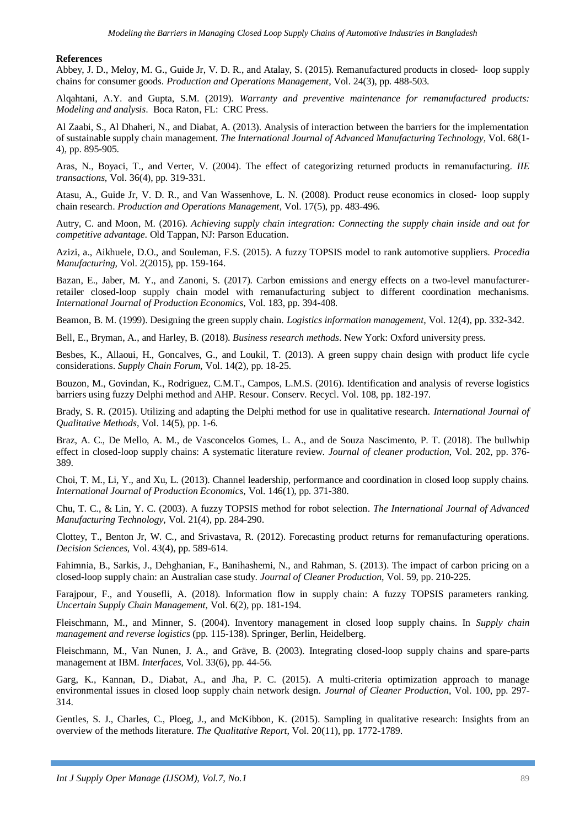#### **References**

Abbey, J. D., Meloy, M. G., Guide Jr, V. D. R., and Atalay, S. (2015). Remanufactured products in closed‐ loop supply chains for consumer goods. *Production and Operations Management*, Vol. 24(3), pp. 488-503.

Alqahtani, A.Y. and Gupta, S.M. (2019). *Warranty and preventive maintenance for remanufactured products: Modeling and analysis*. Boca Raton, FL: CRC Press.

Al Zaabi, S., Al Dhaheri, N., and Diabat, A. (2013). Analysis of interaction between the barriers for the implementation of sustainable supply chain management. *The International Journal of Advanced Manufacturing Technology*, Vol. 68(1- 4), pp. 895-905.

Aras, N., Boyaci, T., and Verter, V. (2004). The effect of categorizing returned products in remanufacturing. *IIE transactions*, Vol. 36(4), pp. 319-331.

Atasu, A., Guide Jr, V. D. R., and Van Wassenhove, L. N. (2008). Product reuse economics in closed‐ loop supply chain research. *Production and Operations Management*, Vol. 17(5), pp. 483-496.

Autry, C. and Moon, M. (2016). *Achieving supply chain integration: Connecting the supply chain inside and out for competitive advantage*. Old Tappan, NJ: Parson Education.

Azizi, a., Aikhuele, D.O., and Souleman, F.S. (2015). A fuzzy TOPSIS model to rank automotive suppliers. *Procedia Manufacturing,* Vol. 2(2015), pp. 159-164.

Bazan, E., Jaber, M. Y., and Zanoni, S. (2017). Carbon emissions and energy effects on a two-level manufacturerretailer closed-loop supply chain model with remanufacturing subject to different coordination mechanisms. *International Journal of Production Economics*, Vol. 183, pp. 394-408.

Beamon, B. M. (1999). Designing the green supply chain. *Logistics information management*, Vol. 12(4), pp. 332-342.

Bell, E., Bryman, A., and Harley, B. (2018). *Business research methods*. New York: Oxford university press.

Besbes, K., Allaoui, H., Goncalves, G., and Loukil, T. (2013). A green suppy chain design with product life cycle considerations. *Supply Chain Forum,* Vol. 14(2), pp. 18-25.

Bouzon, M., Govindan, K., Rodriguez, C.M.T., Campos, L.M.S. (2016). Identification and analysis of reverse logistics barriers using fuzzy Delphi method and AHP. Resour. Conserv. Recycl. Vol. 108, pp. 182-197.

Brady, S. R. (2015). Utilizing and adapting the Delphi method for use in qualitative research. *International Journal of Qualitative Methods*, Vol. 14(5), pp. 1-6.

Braz, A. C., De Mello, A. M., de Vasconcelos Gomes, L. A., and de Souza Nascimento, P. T. (2018). The bullwhip effect in closed-loop supply chains: A systematic literature review. *Journal of cleaner production*, Vol. 202, pp. 376- 389.

Choi, T. M., Li, Y., and Xu, L. (2013). Channel leadership, performance and coordination in closed loop supply chains. *International Journal of Production Economics*, Vol. 146(1), pp. 371-380.

Chu, T. C., & Lin, Y. C. (2003). A fuzzy TOPSIS method for robot selection. *The International Journal of Advanced Manufacturing Technology*, Vol. 21(4), pp. 284-290.

Clottey, T., Benton Jr, W. C., and Srivastava, R. (2012). Forecasting product returns for remanufacturing operations. *Decision Sciences*, Vol. 43(4), pp. 589-614.

Fahimnia, B., Sarkis, J., Dehghanian, F., Banihashemi, N., and Rahman, S. (2013). The impact of carbon pricing on a closed-loop supply chain: an Australian case study. *Journal of Cleaner Production*, Vol. 59, pp. 210-225.

Farajpour, F., and Yousefli, A. (2018). Information flow in supply chain: A fuzzy TOPSIS parameters ranking. *Uncertain Supply Chain Management*, Vol. 6(2), pp. 181-194.

Fleischmann, M., and Minner, S. (2004). Inventory management in closed loop supply chains. In *Supply chain management and reverse logistics* (pp. 115-138). Springer, Berlin, Heidelberg.

Fleischmann, M., Van Nunen, J. A., and Gräve, B. (2003). Integrating closed-loop supply chains and spare-parts management at IBM. *Interfaces*, Vol. 33(6), pp. 44-56.

Garg, K., Kannan, D., Diabat, A., and Jha, P. C. (2015). A multi-criteria optimization approach to manage environmental issues in closed loop supply chain network design. *Journal of Cleaner Production*, Vol. 100, pp. 297- 314.

Gentles, S. J., Charles, C., Ploeg, J., and McKibbon, K. (2015). Sampling in qualitative research: Insights from an overview of the methods literature. *The Qualitative Report*, Vol. 20(11), pp. 1772-1789.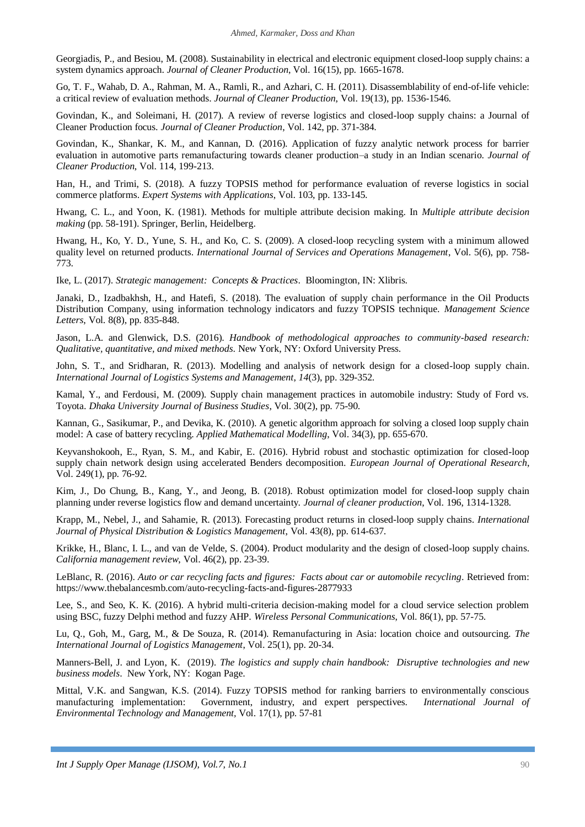Georgiadis, P., and Besiou, M. (2008). Sustainability in electrical and electronic equipment closed-loop supply chains: a system dynamics approach. *Journal of Cleaner Production*, Vol. 16(15), pp. 1665-1678.

Go, T. F., Wahab, D. A., Rahman, M. A., Ramli, R., and Azhari, C. H. (2011). Disassemblability of end-of-life vehicle: a critical review of evaluation methods. *Journal of Cleaner Production*, Vol. 19(13), pp. 1536-1546.

Govindan, K., and Soleimani, H. (2017). A review of reverse logistics and closed-loop supply chains: a Journal of Cleaner Production focus. *Journal of Cleaner Production*, Vol. 142, pp. 371-384.

Govindan, K., Shankar, K. M., and Kannan, D. (2016). Application of fuzzy analytic network process for barrier evaluation in automotive parts remanufacturing towards cleaner production–a study in an Indian scenario. *Journal of Cleaner Production*, Vol. 114, 199-213.

Han, H., and Trimi, S. (2018). A fuzzy TOPSIS method for performance evaluation of reverse logistics in social commerce platforms. *Expert Systems with Applications*, Vol. 103, pp. 133-145.

Hwang, C. L., and Yoon, K. (1981). Methods for multiple attribute decision making. In *Multiple attribute decision making* (pp. 58-191). Springer, Berlin, Heidelberg.

Hwang, H., Ko, Y. D., Yune, S. H., and Ko, C. S. (2009). A closed-loop recycling system with a minimum allowed quality level on returned products. *International Journal of Services and Operations Management*, Vol. 5(6), pp. 758- 773.

Ike, L. (2017). *Strategic management: Concepts & Practices*. Bloomington, IN: Xlibris.

Janaki, D., Izadbakhsh, H., and Hatefi, S. (2018). The evaluation of supply chain performance in the Oil Products Distribution Company, using information technology indicators and fuzzy TOPSIS technique. *Management Science Letters*, Vol. 8(8), pp. 835-848.

Jason, L.A. and Glenwick, D.S. (2016). *Handbook of methodological approaches to community-based research: Qualitative, quantitative, and mixed methods*. New York, NY: Oxford University Press.

John, S. T., and Sridharan, R. (2013). Modelling and analysis of network design for a closed-loop supply chain. *International Journal of Logistics Systems and Management*, *14*(3), pp. 329-352.

Kamal, Y., and Ferdousi, M. (2009). Supply chain management practices in automobile industry: Study of Ford vs. Toyota. *Dhaka University Journal of Business Studies*, Vol. 30(2), pp. 75-90.

Kannan, G., Sasikumar, P., and Devika, K. (2010). A genetic algorithm approach for solving a closed loop supply chain model: A case of battery recycling. *Applied Mathematical Modelling*, Vol. 34(3), pp. 655-670.

Keyvanshokooh, E., Ryan, S. M., and Kabir, E. (2016). Hybrid robust and stochastic optimization for closed-loop supply chain network design using accelerated Benders decomposition. *European Journal of Operational Research*, Vol. 249(1), pp. 76-92.

Kim, J., Do Chung, B., Kang, Y., and Jeong, B. (2018). Robust optimization model for closed-loop supply chain planning under reverse logistics flow and demand uncertainty. *Journal of cleaner production*, Vol. 196, 1314-1328.

Krapp, M., Nebel, J., and Sahamie, R. (2013). Forecasting product returns in closed-loop supply chains. *International Journal of Physical Distribution & Logistics Management*, Vol. 43(8), pp. 614-637.

Krikke, H., Blanc, I. L., and van de Velde, S. (2004). Product modularity and the design of closed-loop supply chains. *California management review*, Vol. 46(2), pp. 23-39.

LeBlanc, R. (2016). *Auto or car recycling facts and figures: Facts about car or automobile recycling*. Retrieved from: https://www.thebalancesmb.com/auto-recycling-facts-and-figures-2877933

Lee, S., and Seo, K. K. (2016). A hybrid multi-criteria decision-making model for a cloud service selection problem using BSC, fuzzy Delphi method and fuzzy AHP. *Wireless Personal Communications*, Vol. 86(1), pp. 57-75.

Lu, Q., Goh, M., Garg, M., & De Souza, R. (2014). Remanufacturing in Asia: location choice and outsourcing. *The International Journal of Logistics Management*, Vol. 25(1), pp. 20-34.

Manners-Bell, J. and Lyon, K. (2019). *The logistics and supply chain handbook: Disruptive technologies and new business models*. New York, NY: Kogan Page.

Mittal, V.K. and Sangwan, K.S. (2014). Fuzzy TOPSIS method for ranking barriers to environmentally conscious manufacturing implementation: Government, industry, and expert perspectives. *International Journal of Environmental Technology and Management,* Vol. 17(1), pp. 57-81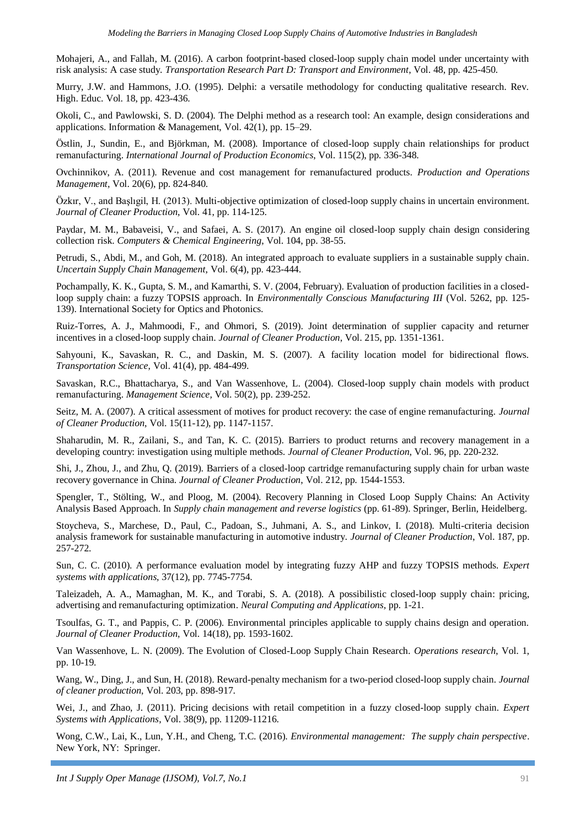Mohajeri, A., and Fallah, M. (2016). A carbon footprint-based closed-loop supply chain model under uncertainty with risk analysis: A case study. *Transportation Research Part D: Transport and Environment*, Vol. 48, pp. 425-450.

Murry, J.W. and Hammons, J.O. (1995). Delphi: a versatile methodology for conducting qualitative research. Rev. High. Educ. Vol. 18, pp. 423-436.

Okoli, C., and Pawlowski, S. D. (2004). The Delphi method as a research tool: An example, design considerations and applications. Information & Management, Vol. 42(1), pp. 15–29.

Östlin, J., Sundin, E., and Björkman, M. (2008). Importance of closed-loop supply chain relationships for product remanufacturing. *International Journal of Production Economics*, Vol. 115(2), pp. 336-348.

Ovchinnikov, A. (2011). Revenue and cost management for remanufactured products. *Production and Operations Management*, Vol. 20(6), pp. 824-840.

Özkır, V., and Başlıgil, H. (2013). Multi-objective optimization of closed-loop supply chains in uncertain environment. *Journal of Cleaner Production*, Vol. 41, pp. 114-125.

Paydar, M. M., Babaveisi, V., and Safaei, A. S. (2017). An engine oil closed-loop supply chain design considering collection risk. *Computers & Chemical Engineering*, Vol. 104, pp. 38-55.

Petrudi, S., Abdi, M., and Goh, M. (2018). An integrated approach to evaluate suppliers in a sustainable supply chain. *Uncertain Supply Chain Management*, Vol. 6(4), pp. 423-444.

Pochampally, K. K., Gupta, S. M., and Kamarthi, S. V. (2004, February). Evaluation of production facilities in a closedloop supply chain: a fuzzy TOPSIS approach. In *Environmentally Conscious Manufacturing III* (Vol. 5262, pp. 125- 139). International Society for Optics and Photonics.

Ruiz-Torres, A. J., Mahmoodi, F., and Ohmori, S. (2019). Joint determination of supplier capacity and returner incentives in a closed-loop supply chain. *Journal of Cleaner Production*, Vol. 215, pp. 1351-1361.

Sahyouni, K., Savaskan, R. C., and Daskin, M. S. (2007). A facility location model for bidirectional flows. *Transportation Science*, Vol. 41(4), pp. 484-499.

Savaskan, R.C., Bhattacharya, S., and Van Wassenhove, L. (2004). Closed-loop supply chain models with product remanufacturing. *Management Science,* Vol. 50(2), pp. 239-252.

Seitz, M. A. (2007). A critical assessment of motives for product recovery: the case of engine remanufacturing. *Journal of Cleaner Production*, Vol. 15(11-12), pp. 1147-1157.

Shaharudin, M. R., Zailani, S., and Tan, K. C. (2015). Barriers to product returns and recovery management in a developing country: investigation using multiple methods. *Journal of Cleaner Production*, Vol. 96, pp. 220-232.

Shi, J., Zhou, J., and Zhu, Q. (2019). Barriers of a closed-loop cartridge remanufacturing supply chain for urban waste recovery governance in China. *Journal of Cleaner Production*, Vol. 212, pp. 1544-1553.

Spengler, T., Stölting, W., and Ploog, M. (2004). Recovery Planning in Closed Loop Supply Chains: An Activity Analysis Based Approach. In *Supply chain management and reverse logistics* (pp. 61-89). Springer, Berlin, Heidelberg.

Stoycheva, S., Marchese, D., Paul, C., Padoan, S., Juhmani, A. S., and Linkov, I. (2018). Multi-criteria decision analysis framework for sustainable manufacturing in automotive industry. *Journal of Cleaner Production*, Vol. 187, pp. 257-272.

Sun, C. C. (2010). A performance evaluation model by integrating fuzzy AHP and fuzzy TOPSIS methods. *Expert systems with applications*, 37(12), pp. 7745-7754.

Taleizadeh, A. A., Mamaghan, M. K., and Torabi, S. A. (2018). A possibilistic closed-loop supply chain: pricing, advertising and remanufacturing optimization. *Neural Computing and Applications*, pp. 1-21.

Tsoulfas, G. T., and Pappis, C. P. (2006). Environmental principles applicable to supply chains design and operation. *Journal of Cleaner Production*, Vol. 14(18), pp. 1593-1602.

Van Wassenhove, L. N. (2009). The Evolution of Closed-Loop Supply Chain Research. *Operations research*, Vol. 1, pp. 10-19.

Wang, W., Ding, J., and Sun, H. (2018). Reward-penalty mechanism for a two-period closed-loop supply chain. *Journal of cleaner production*, Vol. 203, pp. 898-917.

Wei, J., and Zhao, J. (2011). Pricing decisions with retail competition in a fuzzy closed-loop supply chain. *Expert Systems with Applications*, Vol. 38(9), pp. 11209-11216.

Wong, C.W., Lai, K., Lun, Y.H., and Cheng, T.C. (2016). *Environmental management: The supply chain perspective*. New York, NY: Springer.